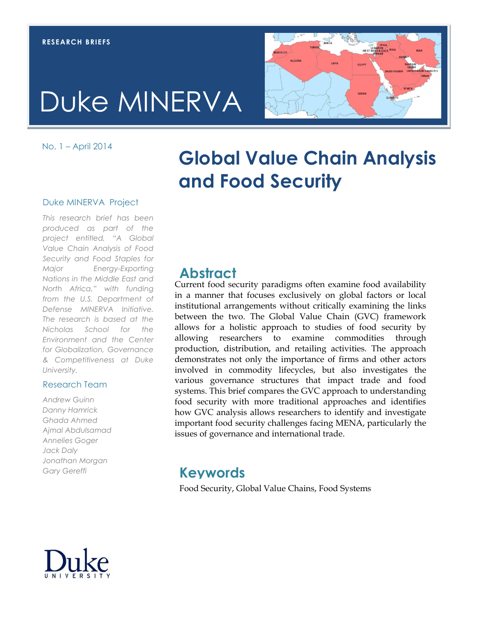# Duke MINERVA

No. 1 – April 2014

## **Global Value Chain Analysis and Food Security**

#### Duke MINERVA Project

*This research brief has been produced as part of the project entitled, "A Global Value Chain Analysis of Food Security and Food Staples for Major Energy-Exporting Nations in the Middle East and North Africa," with funding from the U.S. Department of Defense MINERVA Initiative. The research is based at the Nicholas School for the Environment and the Center for Globalization, Governance & Competitiveness at Duke University.*

#### Research Team

*Andrew Guinn Danny Hamrick Ghada Ahmed Ajmal Abdulsamad Annelies Goger Jack Daly Jonathan Morgan Gary Gereffi*

## **Abstract**

Current food security paradigms often examine food availability Eurient food security paradigms often examine food availability<br>in a manner that focuses exclusively on global factors or local institutional arrangements without critically examining the links between the two. The Global Value Chain (GVC) framework allows for a holistic approach to studies of food security by allowing researchers to examine commodities through production, distribution, and retailing activities. The approach demonstrates not only the importance of firms and other actors involved in commodity lifecycles, but also investigates the various governance structures that impact trade and food systems. This brief compares the GVC approach to understanding food security with more traditional approaches and identifies how GVC analysis allows researchers to identify and investigate important food security challenges facing MENA, particularly the issues of governance and international trade.

### **Keywords**

Food Security, Global Value Chains, Food Systems

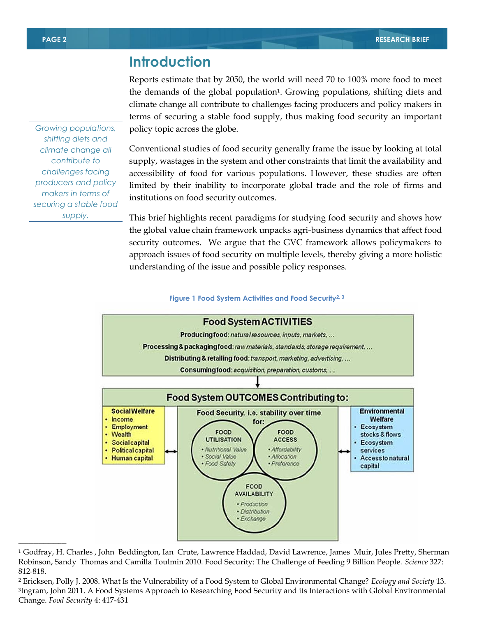## **Introduction**

Reports estimate that by 2050, the world will need 70 to 100% more food to meet the demands of the global population1. Growing populations, shifting diets and climate change all contribute to challenges facing producers and policy makers in terms of securing a stable food supply, thus making food security an important policy topic across the globe.

Conventional studies of food security generally frame the issue by looking at total supply, wastages in the system and other constraints that limit the availability and accessibility of food for various populations. However, these studies are often limited by their inability to incorporate global trade and the role of firms and institutions on food security outcomes.

This brief highlights recent paradigms for studying food security and shows how the global value chain framework unpacks agri-business dynamics that affect food security outcomes. We argue that the GVC framework allows policymakers to approach issues of food security on multiple levels, thereby giving a more holistic understanding of the issue and possible policy responses.

#### **Figure 1 Food System Activities and Food Security2, 3**



**y** Robinson, Sandy Thomas and Camilla Toulmin 2010. Food Security: The Challenge of Feeding 9 Billion People. *Science* 327: <sup>1</sup> Godfray, H. Charles , John Beddington, Ian Crute, Lawrence Haddad, David Lawrence, James Muir, Jules Pretty, Sherman 812-818.

*Growing populations, shifting diets and climate change all contribute to challenges facing producers and policy makers in terms of securing a stable food supply.*

 $\overline{\phantom{a}}$  , where  $\overline{\phantom{a}}$ 

<sup>2</sup> Ericksen, Polly J. 2008. What Is the Vulnerability of a Food System to Global Environmental Change? *Ecology and Society* 13. 3 Ingram, John 2011. A Food Systems Approach to Researching Food Security and its Interactions with Global Environmental Change. *Food Security* 4: 417-431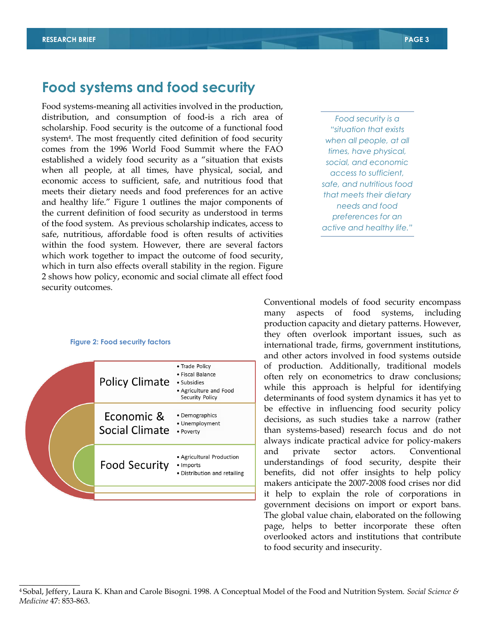## **Food systems and food security**

Food systems-meaning all activities involved in the production, distribution, and consumption of food-is a rich area of scholarship. Food security is the outcome of a functional food system4. The most frequently cited definition of food security comes from the 1996 World Food Summit where the FAO established a widely food security as a "situation that exists when all people, at all times, have physical, social, and economic access to sufficient, safe, and nutritious food that meets their dietary needs and food preferences for an active and healthy life." Figure 1 outlines the major components of the current definition of food security as understood in terms of the food system. As previous scholarship indicates, access to safe, nutritious, affordable food is often results of activities within the food system. However, there are several factors which work together to impact the outcome of food security, which in turn also effects overall stability in the region. Figure 2 shows how policy, economic and social climate all effect food security outcomes.

*Food security is a "situation that exists when all people, at all times, have physical, social, and economic access to sufficient, safe, and nutritious food that meets their dietary needs and food preferences for an active and healthy life."*

#### **Figure 2: Food security factors**

 $\overline{\phantom{a}}$ 

| <b>Policy Climate</b>               | • Trade Policy<br>• Fiscal Balance<br>• Subsidies<br>• Agriculture and Food<br>Security Policy |  |
|-------------------------------------|------------------------------------------------------------------------------------------------|--|
| Economic &<br><b>Social Climate</b> | • Demographics<br>• Unemployment<br>• Poverty                                                  |  |
| <b>Food Security</b>                | • Agricultural Production<br>• Imports<br>• Distribution and retailing                         |  |
|                                     |                                                                                                |  |
|                                     |                                                                                                |  |
|                                     |                                                                                                |  |

Conventional models of food security encompass many aspects of food systems, including production capacity and dietary patterns. However, they often overlook important issues, such as international trade, firms, government institutions, and other actors involved in food systems outside of production. Additionally, traditional models often rely on econometrics to draw conclusions; while this approach is helpful for identifying determinants of food system dynamics it has yet to be effective in influencing food security policy decisions, as such studies take a narrow (rather than systems-based) research focus and do not always indicate practical advice for policy-makers and private sector actors. Conventional understandings of food security, despite their benefits, did not offer insights to help policy makers anticipate the 2007-2008 food crises nor did it help to explain the role of corporations in government decisions on import or export bans. The global value chain, elaborated on the following page, helps to better incorporate these often overlooked actors and institutions that contribute to food security and insecurity.

<sup>4</sup>Sobal, Jeffery, Laura K. Khan and Carole Bisogni. 1998. A Conceptual Model of the Food and Nutrition System. *Social Science & Medicine* 47: 853-863.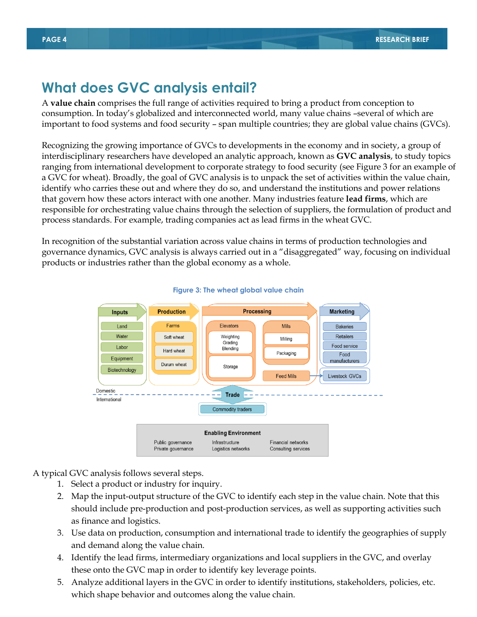## **What does GVC analysis entail?**

A **value chain** comprises the full range of activities required to bring a product from conception to consumption. In today's globalized and interconnected world, many value chains –several of which are important to food systems and food security – span multiple countries; they are global value chains (GVCs).

Recognizing the growing importance of GVCs to developments in the economy and in society, a group of interdisciplinary researchers have developed an analytic approach, known as **GVC analysis**, to study topics ranging from international development to corporate strategy to food security (see Figure 3 for an example of a GVC for wheat). Broadly, the goal of GVC analysis is to unpack the set of activities within the value chain, identify who carries these out and where they do so, and understand the institutions and power relations that govern how these actors interact with one another. Many industries feature **lead firms**, which are responsible for orchestrating value chains through the selection of suppliers, the formulation of product and process standards. For example, trading companies act as lead firms in the wheat GVC.

In recognition of the substantial variation across value chains in terms of production technologies and governance dynamics, GVC analysis is always carried out in a "disaggregated" way, focusing on individual products or industries rather than the global economy as a whole.



#### **Figure 3: The wheat global value chain**

A typical GVC analysis follows several steps.

- 1. Select a product or industry for inquiry.
- 2. Map the input-output structure of the GVC to identify each step in the value chain. Note that this should include pre-production and post-production services, as well as supporting activities such as finance and logistics.
- 3. Use data on production, consumption and international trade to identify the geographies of supply and demand along the value chain.
- 4. Identify the lead firms, intermediary organizations and local suppliers in the GVC, and overlay these onto the GVC map in order to identify key leverage points.
- 5. Analyze additional layers in the GVC in order to identify institutions, stakeholders, policies, etc. which shape behavior and outcomes along the value chain.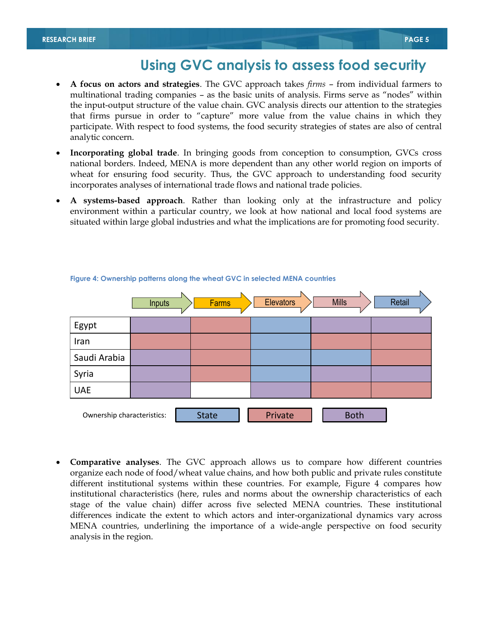## **Using GVC analysis to assess food security**

- **A focus on actors and strategies**. The GVC approach takes *firms* from individual farmers to multinational trading companies – as the basic units of analysis. Firms serve as "nodes" within the input-output structure of the value chain. GVC analysis directs our attention to the strategies that firms pursue in order to "capture" more value from the value chains in which they participate. With respect to food systems, the food security strategies of states are also of central analytic concern.
- **Incorporating global trade**. In bringing goods from conception to consumption, GVCs cross national borders. Indeed, MENA is more dependent than any other world region on imports of wheat for ensuring food security. Thus, the GVC approach to understanding food security incorporates analyses of international trade flows and national trade policies.
- **A systems-based approach**. Rather than looking only at the infrastructure and policy environment within a particular country, we look at how national and local food systems are situated within large global industries and what the implications are for promoting food security.



#### **Figure 4: Ownership patterns along the wheat GVC in selected MENA countries**

 **Comparative analyses**. The GVC approach allows us to compare how different countries organize each node of food/wheat value chains, and how both public and private rules constitute different institutional systems within these countries. For example, Figure 4 compares how institutional characteristics (here, rules and norms about the ownership characteristics of each stage of the value chain) differ across five selected MENA countries. These institutional differences indicate the extent to which actors and inter-organizational dynamics vary across MENA countries, underlining the importance of a wide-angle perspective on food security analysis in the region.